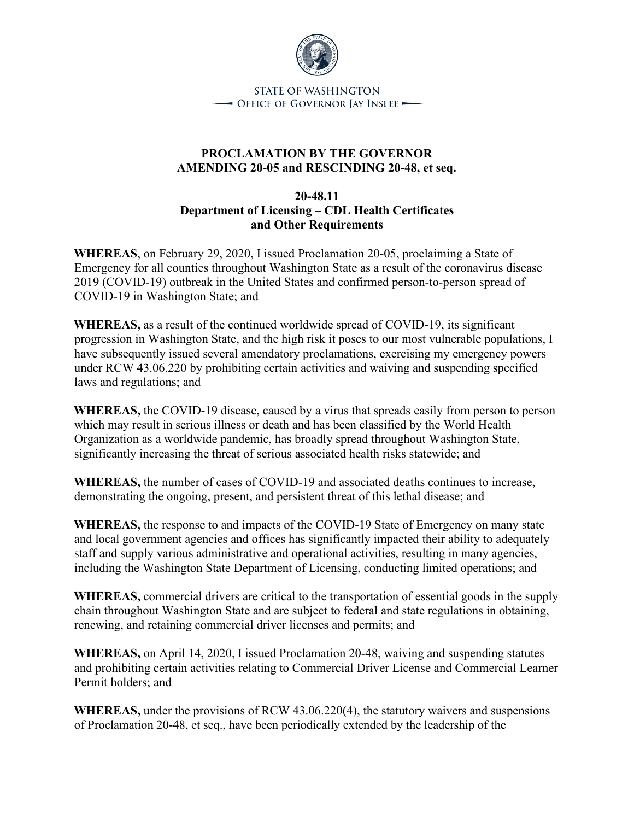

**STATE OF WASHINGTON** - Office of Governor Jay Inslee -

## **PROCLAMATION BY THE GOVERNOR AMENDING 20-05 and RESCINDING 20-48, et seq.**

## **20-48.11 Department of Licensing – CDL Health Certificates and Other Requirements**

**WHEREAS**, on February 29, 2020, I issued Proclamation 20-05, proclaiming a State of Emergency for all counties throughout Washington State as a result of the coronavirus disease 2019 (COVID-19) outbreak in the United States and confirmed person-to-person spread of COVID-19 in Washington State; and

**WHEREAS,** as a result of the continued worldwide spread of COVID-19, its significant progression in Washington State, and the high risk it poses to our most vulnerable populations, I have subsequently issued several amendatory proclamations, exercising my emergency powers under RCW 43.06.220 by prohibiting certain activities and waiving and suspending specified laws and regulations; and

**WHEREAS,** the COVID-19 disease, caused by a virus that spreads easily from person to person which may result in serious illness or death and has been classified by the World Health Organization as a worldwide pandemic, has broadly spread throughout Washington State, significantly increasing the threat of serious associated health risks statewide; and

**WHEREAS,** the number of cases of COVID-19 and associated deaths continues to increase, demonstrating the ongoing, present, and persistent threat of this lethal disease; and

**WHEREAS,** the response to and impacts of the COVID-19 State of Emergency on many state and local government agencies and offices has significantly impacted their ability to adequately staff and supply various administrative and operational activities, resulting in many agencies, including the Washington State Department of Licensing, conducting limited operations; and

**WHEREAS,** commercial drivers are critical to the transportation of essential goods in the supply chain throughout Washington State and are subject to federal and state regulations in obtaining, renewing, and retaining commercial driver licenses and permits; and

**WHEREAS,** on April 14, 2020, I issued Proclamation 20-48, waiving and suspending statutes and prohibiting certain activities relating to Commercial Driver License and Commercial Learner Permit holders; and

**WHEREAS,** under the provisions of RCW 43.06.220(4), the statutory waivers and suspensions of Proclamation 20-48, et seq., have been periodically extended by the leadership of the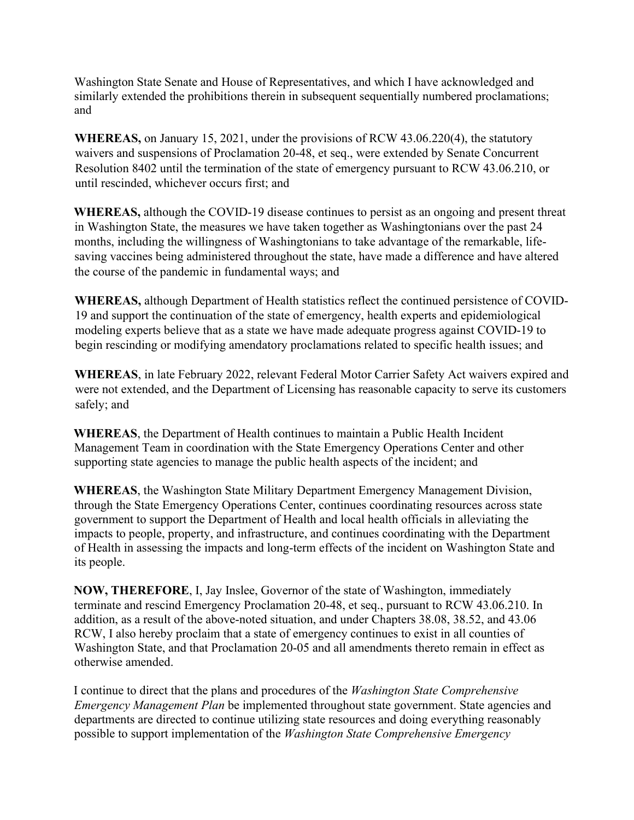Washington State Senate and House of Representatives, and which I have acknowledged and similarly extended the prohibitions therein in subsequent sequentially numbered proclamations; and

**WHEREAS,** on January 15, 2021, under the provisions of RCW 43.06.220(4), the statutory waivers and suspensions of Proclamation 20-48, et seq., were extended by Senate Concurrent Resolution 8402 until the termination of the state of emergency pursuant to RCW 43.06.210, or until rescinded, whichever occurs first; and

**WHEREAS,** although the COVID-19 disease continues to persist as an ongoing and present threat in Washington State, the measures we have taken together as Washingtonians over the past 24 months, including the willingness of Washingtonians to take advantage of the remarkable, lifesaving vaccines being administered throughout the state, have made a difference and have altered the course of the pandemic in fundamental ways; and

**WHEREAS,** although Department of Health statistics reflect the continued persistence of COVID-19 and support the continuation of the state of emergency, health experts and epidemiological modeling experts believe that as a state we have made adequate progress against COVID-19 to begin rescinding or modifying amendatory proclamations related to specific health issues; and

**WHEREAS**, in late February 2022, relevant Federal Motor Carrier Safety Act waivers expired and were not extended, and the Department of Licensing has reasonable capacity to serve its customers safely; and

**WHEREAS**, the Department of Health continues to maintain a Public Health Incident Management Team in coordination with the State Emergency Operations Center and other supporting state agencies to manage the public health aspects of the incident; and

**WHEREAS**, the Washington State Military Department Emergency Management Division, through the State Emergency Operations Center, continues coordinating resources across state government to support the Department of Health and local health officials in alleviating the impacts to people, property, and infrastructure, and continues coordinating with the Department of Health in assessing the impacts and long-term effects of the incident on Washington State and its people.

**NOW, THEREFORE**, I, Jay Inslee, Governor of the state of Washington, immediately terminate and rescind Emergency Proclamation 20-48, et seq., pursuant to RCW 43.06.210. In addition, as a result of the above-noted situation, and under Chapters 38.08, 38.52, and 43.06 RCW, I also hereby proclaim that a state of emergency continues to exist in all counties of Washington State, and that Proclamation 20-05 and all amendments thereto remain in effect as otherwise amended.

I continue to direct that the plans and procedures of the *Washington State Comprehensive Emergency Management Plan* be implemented throughout state government. State agencies and departments are directed to continue utilizing state resources and doing everything reasonably possible to support implementation of the *Washington State Comprehensive Emergency*